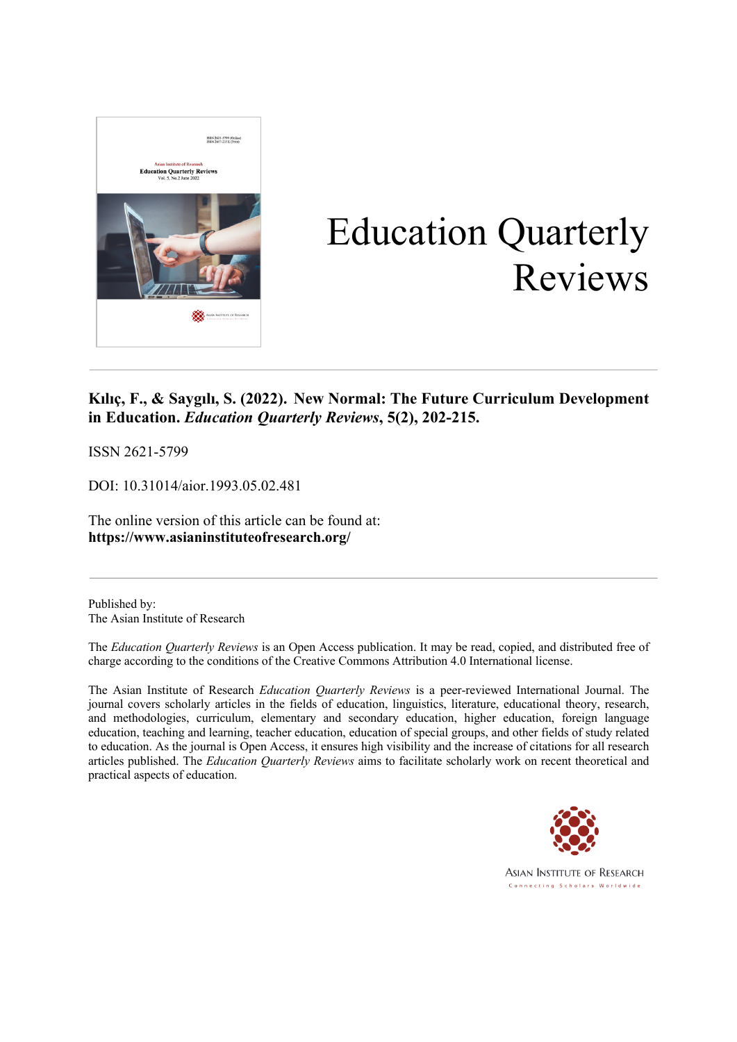

# Education Quarterly Reviews

# **Kılıç, F., & Saygılı, S. (2022). New Normal: The Future Curriculum Development in Education.** *Education Quarterly Reviews***, 5(2), 202-215.**

ISSN 2621-5799

DOI: 10.31014/aior.1993.05.02.481

The online version of this article can be found at: **https://www.asianinstituteofresearch.org/**

Published by: The Asian Institute of Research

The *Education Quarterly Reviews* is an Open Access publication. It may be read, copied, and distributed free of charge according to the conditions of the Creative Commons Attribution 4.0 International license.

The Asian Institute of Research *Education Quarterly Reviews* is a peer-reviewed International Journal. The journal covers scholarly articles in the fields of education, linguistics, literature, educational theory, research, and methodologies, curriculum, elementary and secondary education, higher education, foreign language education, teaching and learning, teacher education, education of special groups, and other fields of study related to education. As the journal is Open Access, it ensures high visibility and the increase of citations for all research articles published. The *Education Quarterly Reviews* aims to facilitate scholarly work on recent theoretical and practical aspects of education.

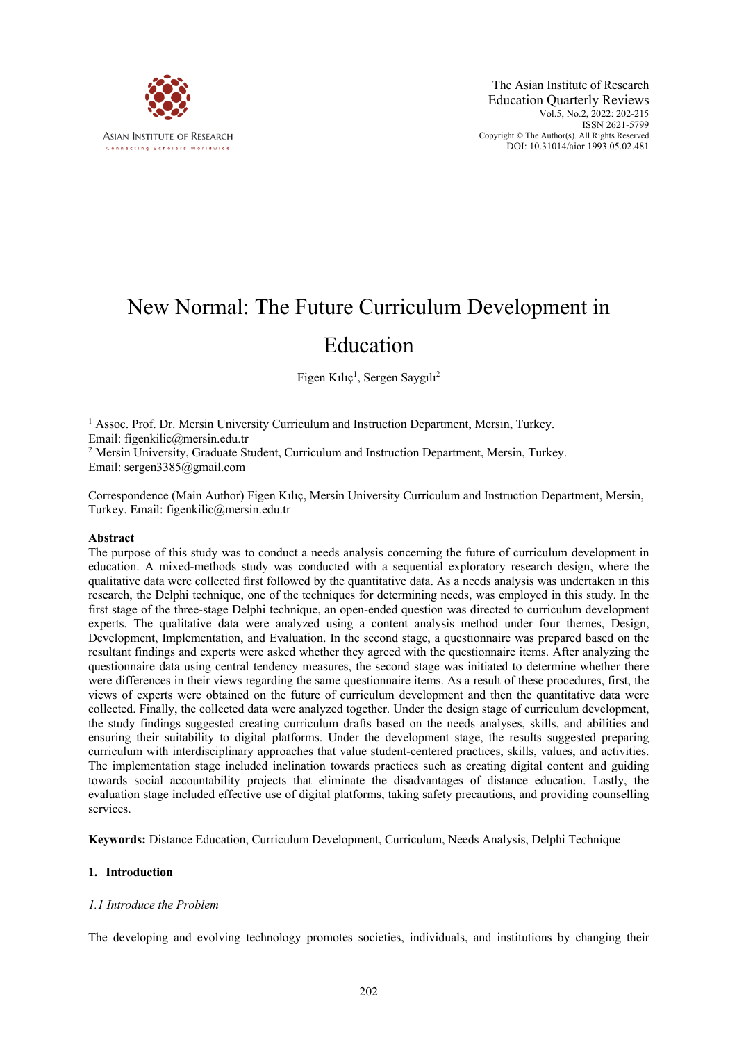

# New Normal: The Future Curriculum Development in

# Education

Figen Kılıç<sup>1</sup>, Sergen Saygılı<sup>2</sup>

<sup>1</sup> Assoc. Prof. Dr. Mersin University Curriculum and Instruction Department, Mersin, Turkey. Email: figenkilic@mersin.edu.tr <sup>2</sup> Mersin University, Graduate Student, Curriculum and Instruction Department, Mersin, Turkey. Email: sergen3385@gmail.com

Correspondence (Main Author) Figen Kılıç, Mersin University Curriculum and Instruction Department, Mersin, Turkey. Email: figenkilic@mersin.edu.tr

#### **Abstract**

The purpose of this study was to conduct a needs analysis concerning the future of curriculum development in education. A mixed-methods study was conducted with a sequential exploratory research design, where the qualitative data were collected first followed by the quantitative data. As a needs analysis was undertaken in this research, the Delphi technique, one of the techniques for determining needs, was employed in this study. In the first stage of the three-stage Delphi technique, an open-ended question was directed to curriculum development experts. The qualitative data were analyzed using a content analysis method under four themes, Design, Development, Implementation, and Evaluation. In the second stage, a questionnaire was prepared based on the resultant findings and experts were asked whether they agreed with the questionnaire items. After analyzing the questionnaire data using central tendency measures, the second stage was initiated to determine whether there were differences in their views regarding the same questionnaire items. As a result of these procedures, first, the views of experts were obtained on the future of curriculum development and then the quantitative data were collected. Finally, the collected data were analyzed together. Under the design stage of curriculum development, the study findings suggested creating curriculum drafts based on the needs analyses, skills, and abilities and ensuring their suitability to digital platforms. Under the development stage, the results suggested preparing curriculum with interdisciplinary approaches that value student-centered practices, skills, values, and activities. The implementation stage included inclination towards practices such as creating digital content and guiding towards social accountability projects that eliminate the disadvantages of distance education. Lastly, the evaluation stage included effective use of digital platforms, taking safety precautions, and providing counselling services.

**Keywords:** Distance Education, Curriculum Development, Curriculum, Needs Analysis, Delphi Technique

#### **1. Introduction**

#### *1.1 Introduce the Problem*

The developing and evolving technology promotes societies, individuals, and institutions by changing their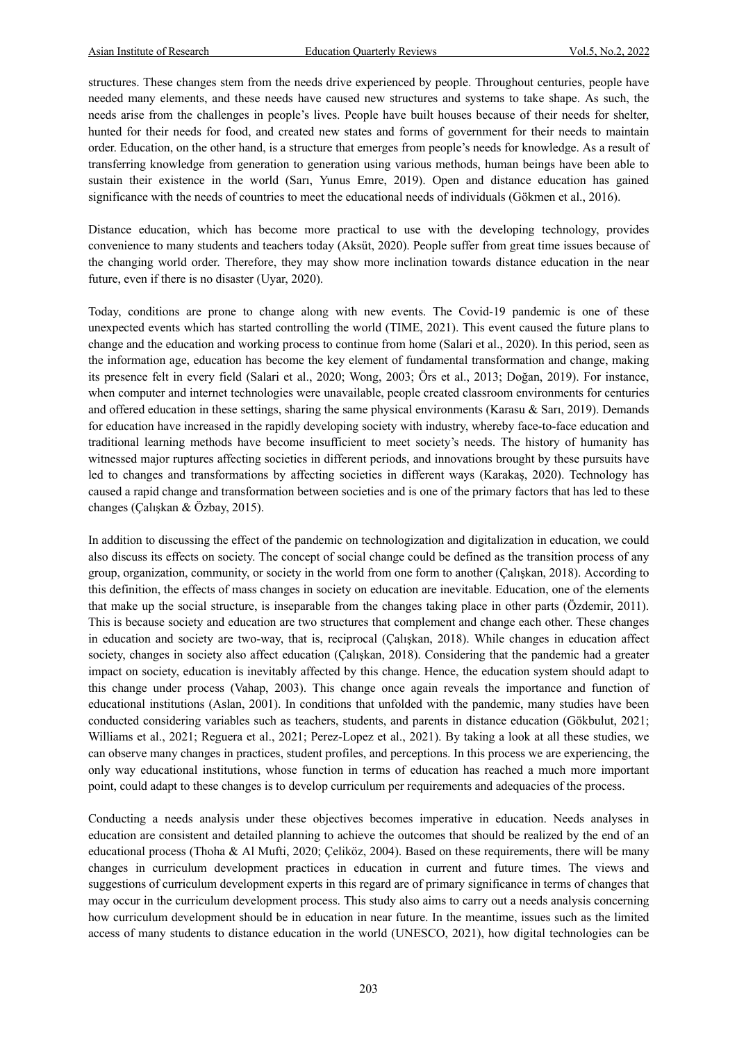structures. These changes stem from the needs drive experienced by people. Throughout centuries, people have needed many elements, and these needs have caused new structures and systems to take shape. As such, the needs arise from the challenges in people's lives. People have built houses because of their needs for shelter, hunted for their needs for food, and created new states and forms of government for their needs to maintain order. Education, on the other hand, is a structure that emerges from people's needs for knowledge. As a result of transferring knowledge from generation to generation using various methods, human beings have been able to sustain their existence in the world (Sarı, Yunus Emre, 2019). Open and distance education has gained significance with the needs of countries to meet the educational needs of individuals (Gökmen et al., 2016).

Distance education, which has become more practical to use with the developing technology, provides convenience to many students and teachers today (Aksüt, 2020). People suffer from great time issues because of the changing world order. Therefore, they may show more inclination towards distance education in the near future, even if there is no disaster (Uyar, 2020).

Today, conditions are prone to change along with new events. The Covid-19 pandemic is one of these unexpected events which has started controlling the world (TIME, 2021). This event caused the future plans to change and the education and working process to continue from home (Salari et al., 2020). In this period, seen as the information age, education has become the key element of fundamental transformation and change, making its presence felt in every field (Salari et al., 2020; Wong, 2003; Örs et al., 2013; Doğan, 2019). For instance, when computer and internet technologies were unavailable, people created classroom environments for centuries and offered education in these settings, sharing the same physical environments (Karasu & Sarı, 2019). Demands for education have increased in the rapidly developing society with industry, whereby face-to-face education and traditional learning methods have become insufficient to meet society's needs. The history of humanity has witnessed major ruptures affecting societies in different periods, and innovations brought by these pursuits have led to changes and transformations by affecting societies in different ways (Karakaş, 2020). Technology has caused a rapid change and transformation between societies and is one of the primary factors that has led to these changes (Çalışkan & Özbay, 2015).

In addition to discussing the effect of the pandemic on technologization and digitalization in education, we could also discuss its effects on society. The concept of social change could be defined as the transition process of any group, organization, community, or society in the world from one form to another (Çalışkan, 2018). According to this definition, the effects of mass changes in society on education are inevitable. Education, one of the elements that make up the social structure, is inseparable from the changes taking place in other parts (Özdemir, 2011). This is because society and education are two structures that complement and change each other. These changes in education and society are two-way, that is, reciprocal (Çalışkan, 2018). While changes in education affect society, changes in society also affect education (Çalışkan, 2018). Considering that the pandemic had a greater impact on society, education is inevitably affected by this change. Hence, the education system should adapt to this change under process (Vahap, 2003). This change once again reveals the importance and function of educational institutions (Aslan, 2001). In conditions that unfolded with the pandemic, many studies have been conducted considering variables such as teachers, students, and parents in distance education (Gökbulut, 2021; Williams et al., 2021; Reguera et al., 2021; Perez-Lopez et al., 2021). By taking a look at all these studies, we can observe many changes in practices, student profiles, and perceptions. In this process we are experiencing, the only way educational institutions, whose function in terms of education has reached a much more important point, could adapt to these changes is to develop curriculum per requirements and adequacies of the process.

Conducting a needs analysis under these objectives becomes imperative in education. Needs analyses in education are consistent and detailed planning to achieve the outcomes that should be realized by the end of an educational process (Thoha & Al Mufti, 2020; Çeliköz, 2004). Based on these requirements, there will be many changes in curriculum development practices in education in current and future times. The views and suggestions of curriculum development experts in this regard are of primary significance in terms of changes that may occur in the curriculum development process. This study also aims to carry out a needs analysis concerning how curriculum development should be in education in near future. In the meantime, issues such as the limited access of many students to distance education in the world (UNESCO, 2021), how digital technologies can be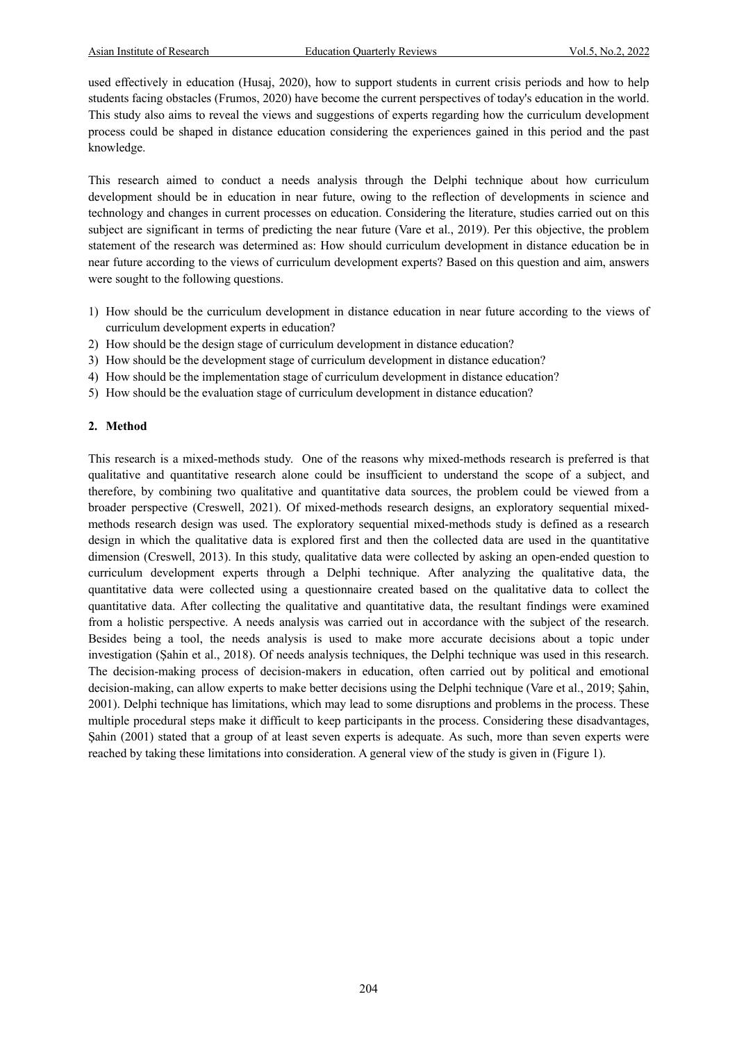used effectively in education (Husaj, 2020), how to support students in current crisis periods and how to help students facing obstacles (Frumos, 2020) have become the current perspectives of today's education in the world. This study also aims to reveal the views and suggestions of experts regarding how the curriculum development process could be shaped in distance education considering the experiences gained in this period and the past knowledge.

This research aimed to conduct a needs analysis through the Delphi technique about how curriculum development should be in education in near future, owing to the reflection of developments in science and technology and changes in current processes on education. Considering the literature, studies carried out on this subject are significant in terms of predicting the near future (Vare et al., 2019). Per this objective, the problem statement of the research was determined as: How should curriculum development in distance education be in near future according to the views of curriculum development experts? Based on this question and aim, answers were sought to the following questions.

- 1) How should be the curriculum development in distance education in near future according to the views of curriculum development experts in education?
- 2) How should be the design stage of curriculum development in distance education?
- 3) How should be the development stage of curriculum development in distance education?
- 4) How should be the implementation stage of curriculum development in distance education?
- 5) How should be the evaluation stage of curriculum development in distance education?

#### **2. Method**

This research is a mixed-methods study. One of the reasons why mixed-methods research is preferred is that qualitative and quantitative research alone could be insufficient to understand the scope of a subject, and therefore, by combining two qualitative and quantitative data sources, the problem could be viewed from a broader perspective (Creswell, 2021). Of mixed-methods research designs, an exploratory sequential mixedmethods research design was used. The exploratory sequential mixed-methods study is defined as a research design in which the qualitative data is explored first and then the collected data are used in the quantitative dimension (Creswell, 2013). In this study, qualitative data were collected by asking an open-ended question to curriculum development experts through a Delphi technique. After analyzing the qualitative data, the quantitative data were collected using a questionnaire created based on the qualitative data to collect the quantitative data. After collecting the qualitative and quantitative data, the resultant findings were examined from a holistic perspective. A needs analysis was carried out in accordance with the subject of the research. Besides being a tool, the needs analysis is used to make more accurate decisions about a topic under investigation (Şahin et al., 2018). Of needs analysis techniques, the Delphi technique was used in this research. The decision-making process of decision-makers in education, often carried out by political and emotional decision-making, can allow experts to make better decisions using the Delphi technique (Vare et al., 2019; Şahin, 2001). Delphi technique has limitations, which may lead to some disruptions and problems in the process. These multiple procedural steps make it difficult to keep participants in the process. Considering these disadvantages, Şahin (2001) stated that a group of at least seven experts is adequate. As such, more than seven experts were reached by taking these limitations into consideration. A general view of the study is given in (Figure 1).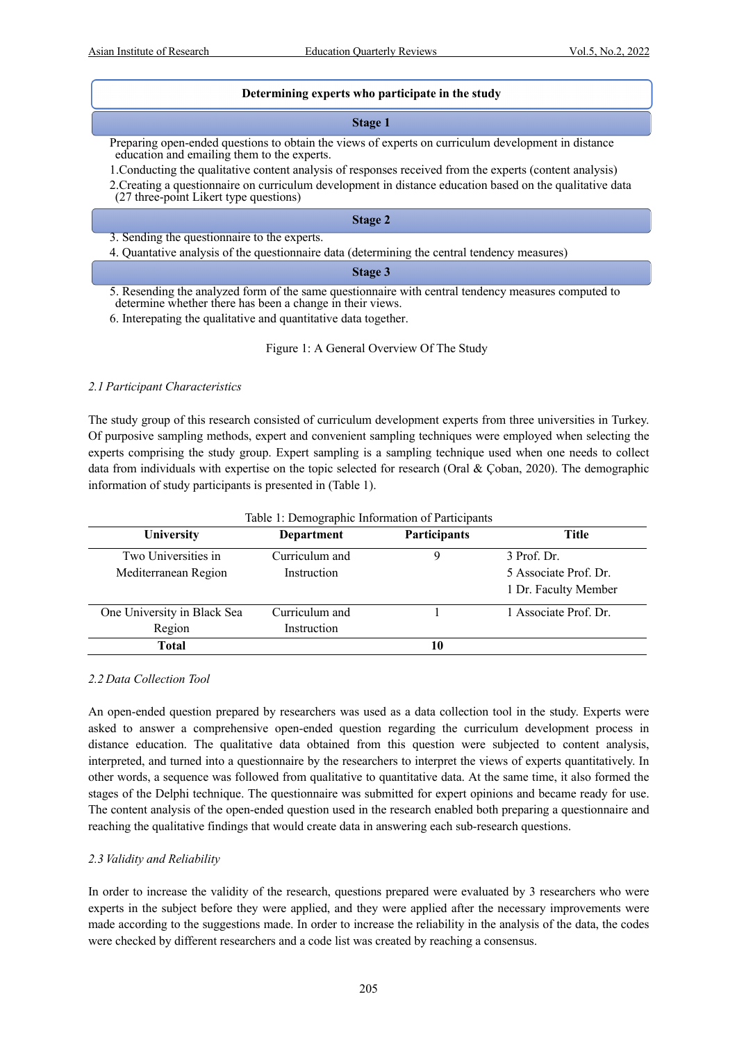#### **Determining experts who participate in the study**

#### **Stage 1**

Preparing open-ended questions to obtain the views of experts on curriculum development in distance education and emailing them to the experts.

1.Conducting the qualitative content analysis of responses received from the experts (content analysis)

2.Creating a questionnaire on curriculum development in distance education based on the qualitative data (27 three-point Likert type questions)

#### **Stage 2**

3. Sending the questionnaire to the experts.

4. Quantative analysis of the questionnaire data (determining the central tendency measures)

#### **Stage 3**

5. Resending the analyzed form of the same questionnaire with central tendency measures computed to determine whether there has been a change in their views.

6. Interepating the qualitative and quantitative data together.

Figure 1: A General Overview Of The Study

#### *2.1 Participant Characteristics*

The study group of this research consisted of curriculum development experts from three universities in Turkey. Of purposive sampling methods, expert and convenient sampling techniques were employed when selecting the experts comprising the study group. Expert sampling is a sampling technique used when one needs to collect data from individuals with expertise on the topic selected for research (Oral & Çoban, 2020). The demographic information of study participants is presented in (Table 1).

| University                  | Department     | Participants | <b>Title</b>          |
|-----------------------------|----------------|--------------|-----------------------|
| Two Universities in         | Curriculum and |              | 3 Prof. Dr.           |
| Mediterranean Region        | Instruction    |              | 5 Associate Prof. Dr. |
|                             |                |              | 1 Dr. Faculty Member  |
| One University in Black Sea | Curriculum and |              | 1 Associate Prof. Dr. |
| Region                      | Instruction    |              |                       |
| Total                       |                | 10           |                       |

#### Table 1: Demographic Information of Participants

#### *2.2 Data Collection Tool*

An open-ended question prepared by researchers was used as a data collection tool in the study. Experts were asked to answer a comprehensive open-ended question regarding the curriculum development process in distance education. The qualitative data obtained from this question were subjected to content analysis, interpreted, and turned into a questionnaire by the researchers to interpret the views of experts quantitatively. In other words, a sequence was followed from qualitative to quantitative data. At the same time, it also formed the stages of the Delphi technique. The questionnaire was submitted for expert opinions and became ready for use. The content analysis of the open-ended question used in the research enabled both preparing a questionnaire and reaching the qualitative findings that would create data in answering each sub-research questions.

#### *2.3 Validity and Reliability*

In order to increase the validity of the research, questions prepared were evaluated by 3 researchers who were experts in the subject before they were applied, and they were applied after the necessary improvements were made according to the suggestions made. In order to increase the reliability in the analysis of the data, the codes were checked by different researchers and a code list was created by reaching a consensus.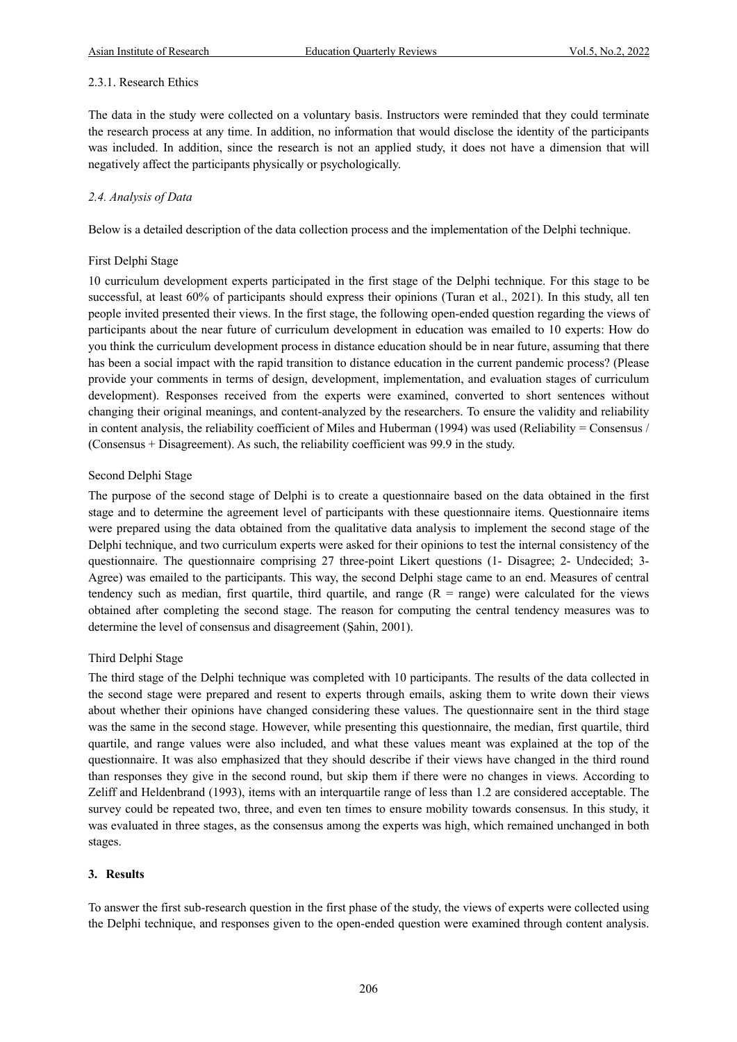## 2.3.1. Research Ethics

The data in the study were collected on a voluntary basis. Instructors were reminded that they could terminate the research process at any time. In addition, no information that would disclose the identity of the participants was included. In addition, since the research is not an applied study, it does not have a dimension that will negatively affect the participants physically or psychologically.

## *2.4. Analysis of Data*

Below is a detailed description of the data collection process and the implementation of the Delphi technique.

#### First Delphi Stage

10 curriculum development experts participated in the first stage of the Delphi technique. For this stage to be successful, at least 60% of participants should express their opinions (Turan et al., 2021). In this study, all ten people invited presented their views. In the first stage, the following open-ended question regarding the views of participants about the near future of curriculum development in education was emailed to 10 experts: How do you think the curriculum development process in distance education should be in near future, assuming that there has been a social impact with the rapid transition to distance education in the current pandemic process? (Please provide your comments in terms of design, development, implementation, and evaluation stages of curriculum development). Responses received from the experts were examined, converted to short sentences without changing their original meanings, and content-analyzed by the researchers. To ensure the validity and reliability in content analysis, the reliability coefficient of Miles and Huberman (1994) was used (Reliability = Consensus / (Consensus + Disagreement). As such, the reliability coefficient was 99.9 in the study.

#### Second Delphi Stage

The purpose of the second stage of Delphi is to create a questionnaire based on the data obtained in the first stage and to determine the agreement level of participants with these questionnaire items. Questionnaire items were prepared using the data obtained from the qualitative data analysis to implement the second stage of the Delphi technique, and two curriculum experts were asked for their opinions to test the internal consistency of the questionnaire. The questionnaire comprising 27 three-point Likert questions (1- Disagree; 2- Undecided; 3- Agree) was emailed to the participants. This way, the second Delphi stage came to an end. Measures of central tendency such as median, first quartile, third quartile, and range  $(R = range)$  were calculated for the views obtained after completing the second stage. The reason for computing the central tendency measures was to determine the level of consensus and disagreement (Şahin, 2001).

# Third Delphi Stage

The third stage of the Delphi technique was completed with 10 participants. The results of the data collected in the second stage were prepared and resent to experts through emails, asking them to write down their views about whether their opinions have changed considering these values. The questionnaire sent in the third stage was the same in the second stage. However, while presenting this questionnaire, the median, first quartile, third quartile, and range values were also included, and what these values meant was explained at the top of the questionnaire. It was also emphasized that they should describe if their views have changed in the third round than responses they give in the second round, but skip them if there were no changes in views. According to Zeliff and Heldenbrand (1993), items with an interquartile range of less than 1.2 are considered acceptable. The survey could be repeated two, three, and even ten times to ensure mobility towards consensus. In this study, it was evaluated in three stages, as the consensus among the experts was high, which remained unchanged in both stages.

# **3. Results**

To answer the first sub-research question in the first phase of the study, the views of experts were collected using the Delphi technique, and responses given to the open-ended question were examined through content analysis.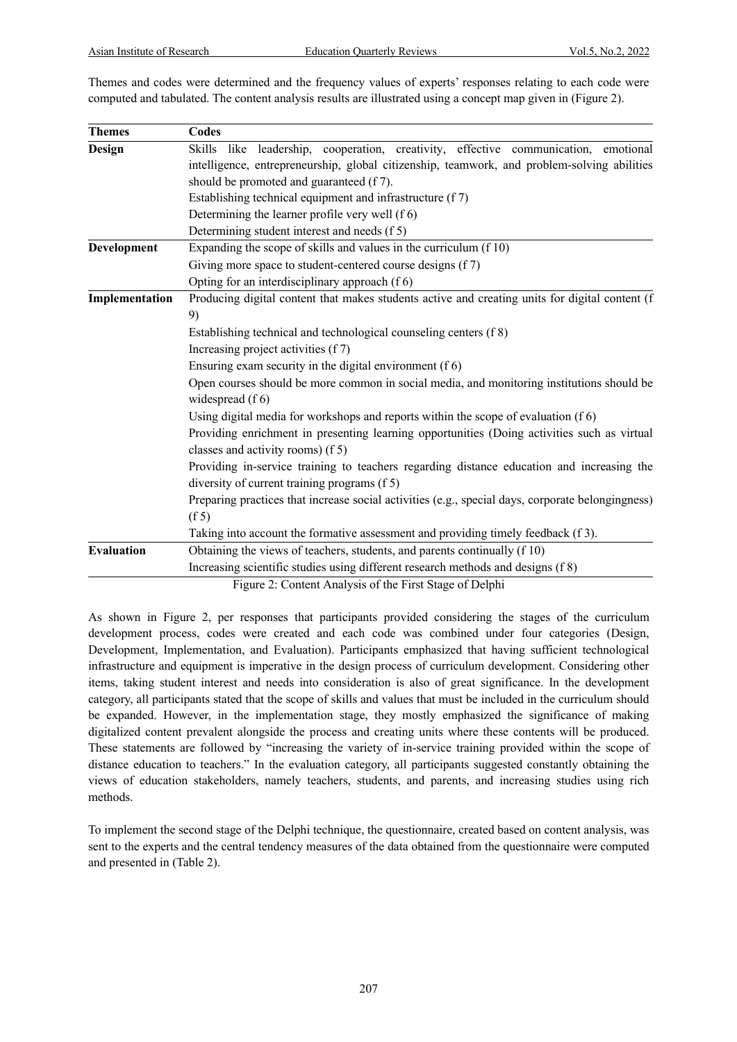Themes and codes were determined and the frequency values of experts' responses relating to each code were computed and tabulated. The content analysis results are illustrated using a concept map given in (Figure 2).

| <b>Themes</b>     | Codes                                                                                                                            |  |  |  |  |  |
|-------------------|----------------------------------------------------------------------------------------------------------------------------------|--|--|--|--|--|
| Design            | Skills like leadership, cooperation, creativity, effective communication, emotional                                              |  |  |  |  |  |
|                   | intelligence, entrepreneurship, global citizenship, teamwork, and problem-solving abilities                                      |  |  |  |  |  |
|                   | should be promoted and guaranteed (f 7).                                                                                         |  |  |  |  |  |
|                   | Establishing technical equipment and infrastructure (f 7)                                                                        |  |  |  |  |  |
|                   | Determining the learner profile very well (f 6)                                                                                  |  |  |  |  |  |
|                   | Determining student interest and needs (f 5)                                                                                     |  |  |  |  |  |
| Development       | Expanding the scope of skills and values in the curriculum (f 10)                                                                |  |  |  |  |  |
|                   | Giving more space to student-centered course designs (f 7)                                                                       |  |  |  |  |  |
|                   | Opting for an interdisciplinary approach (f 6)                                                                                   |  |  |  |  |  |
| Implementation    | Producing digital content that makes students active and creating units for digital content (f                                   |  |  |  |  |  |
|                   | 9)                                                                                                                               |  |  |  |  |  |
|                   | Establishing technical and technological counseling centers (f 8)                                                                |  |  |  |  |  |
|                   | Increasing project activities (f7)                                                                                               |  |  |  |  |  |
|                   | Ensuring exam security in the digital environment $(f 6)$                                                                        |  |  |  |  |  |
|                   | Open courses should be more common in social media, and monitoring institutions should be                                        |  |  |  |  |  |
|                   | widespread $(f 6)$                                                                                                               |  |  |  |  |  |
|                   | Using digital media for workshops and reports within the scope of evaluation (f 6)                                               |  |  |  |  |  |
|                   | Providing enrichment in presenting learning opportunities (Doing activities such as virtual<br>classes and activity rooms) (f 5) |  |  |  |  |  |
|                   | Providing in-service training to teachers regarding distance education and increasing the                                        |  |  |  |  |  |
|                   | diversity of current training programs (f 5)                                                                                     |  |  |  |  |  |
|                   | Preparing practices that increase social activities (e.g., special days, corporate belongingness)                                |  |  |  |  |  |
|                   | (f 5)                                                                                                                            |  |  |  |  |  |
|                   | Taking into account the formative assessment and providing timely feedback (f 3).                                                |  |  |  |  |  |
| <b>Evaluation</b> | Obtaining the views of teachers, students, and parents continually (f 10)                                                        |  |  |  |  |  |
|                   | Increasing scientific studies using different research methods and designs (f 8)                                                 |  |  |  |  |  |
|                   | Eigure 2: Content Apolysis of the First Store of Delphi                                                                          |  |  |  |  |  |

Figure 2: Content Analysis of the First Stage of Delphi

As shown in Figure 2, per responses that participants provided considering the stages of the curriculum development process, codes were created and each code was combined under four categories (Design, Development, Implementation, and Evaluation). Participants emphasized that having sufficient technological infrastructure and equipment is imperative in the design process of curriculum development. Considering other items, taking student interest and needs into consideration is also of great significance. In the development category, all participants stated that the scope of skills and values that must be included in the curriculum should be expanded. However, in the implementation stage, they mostly emphasized the significance of making digitalized content prevalent alongside the process and creating units where these contents will be produced. These statements are followed by "increasing the variety of in-service training provided within the scope of distance education to teachers." In the evaluation category, all participants suggested constantly obtaining the views of education stakeholders, namely teachers, students, and parents, and increasing studies using rich methods.

To implement the second stage of the Delphi technique, the questionnaire, created based on content analysis, was sent to the experts and the central tendency measures of the data obtained from the questionnaire were computed and presented in (Table 2).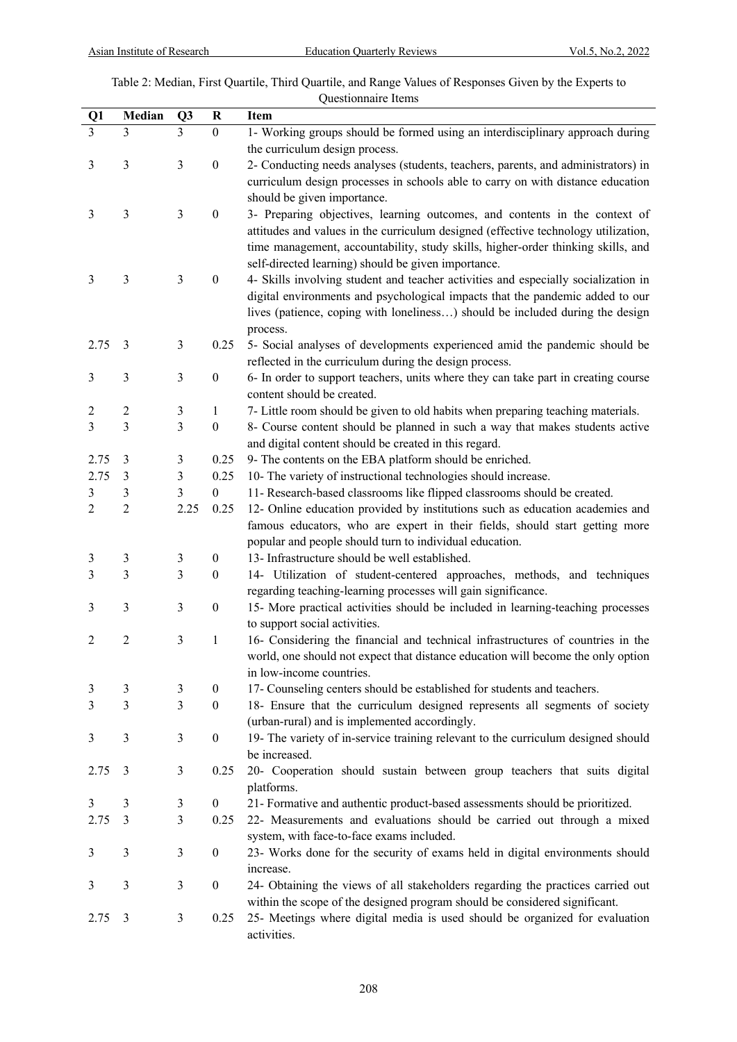# Table 2: Median, First Quartile, Third Quartile, and Range Values of Responses Given by the Experts to Questionnaire Items

| Q1             | Median           | Q3   | $\bf R$          | Item                                                                               |
|----------------|------------------|------|------------------|------------------------------------------------------------------------------------|
| $\overline{3}$ | 3                | 3    | $\boldsymbol{0}$ | 1- Working groups should be formed using an interdisciplinary approach during      |
|                |                  |      |                  | the curriculum design process.                                                     |
| 3              | 3                | 3    | $\boldsymbol{0}$ | 2- Conducting needs analyses (students, teachers, parents, and administrators) in  |
|                |                  |      |                  |                                                                                    |
|                |                  |      |                  | curriculum design processes in schools able to carry on with distance education    |
|                |                  |      |                  | should be given importance.                                                        |
| 3              | $\mathfrak{Z}$   | 3    | $\boldsymbol{0}$ | 3- Preparing objectives, learning outcomes, and contents in the context of         |
|                |                  |      |                  | attitudes and values in the curriculum designed (effective technology utilization, |
|                |                  |      |                  | time management, accountability, study skills, higher-order thinking skills, and   |
|                |                  |      |                  | self-directed learning) should be given importance.                                |
| 3              | 3                | 3    | $\boldsymbol{0}$ | 4- Skills involving student and teacher activities and especially socialization in |
|                |                  |      |                  | digital environments and psychological impacts that the pandemic added to our      |
|                |                  |      |                  | lives (patience, coping with loneliness) should be included during the design      |
|                |                  |      |                  | process.                                                                           |
| 2.75           | 3                | 3    | 0.25             | 5- Social analyses of developments experienced amid the pandemic should be         |
|                |                  |      |                  | reflected in the curriculum during the design process.                             |
| 3              | $\mathfrak{Z}$   | 3    | $\boldsymbol{0}$ | 6- In order to support teachers, units where they can take part in creating course |
|                |                  |      |                  | content should be created.                                                         |
| 2              | $\boldsymbol{2}$ | 3    | 1                | 7- Little room should be given to old habits when preparing teaching materials.    |
| 3              | $\overline{3}$   | 3    | $\boldsymbol{0}$ | 8- Course content should be planned in such a way that makes students active       |
|                |                  |      |                  | and digital content should be created in this regard.                              |
| 2.75           | 3                | 3    | 0.25             | 9- The contents on the EBA platform should be enriched.                            |
| 2.75           | 3                | 3    | 0.25             | 10- The variety of instructional technologies should increase.                     |
| 3              | 3                | 3    | $\boldsymbol{0}$ | 11- Research-based classrooms like flipped classrooms should be created.           |
| 2              | $\overline{c}$   | 2.25 | 0.25             | 12- Online education provided by institutions such as education academies and      |
|                |                  |      |                  | famous educators, who are expert in their fields, should start getting more        |
|                |                  |      |                  | popular and people should turn to individual education.                            |
| 3              | 3                | 3    | $\boldsymbol{0}$ | 13- Infrastructure should be well established.                                     |
| 3              | 3                | 3    | $\boldsymbol{0}$ | 14- Utilization of student-centered approaches, methods, and techniques            |
|                |                  |      |                  | regarding teaching-learning processes will gain significance.                      |
| 3              | 3                | 3    | $\boldsymbol{0}$ | 15- More practical activities should be included in learning-teaching processes    |
|                |                  |      |                  | to support social activities.                                                      |
| 2              | $\overline{2}$   | 3    | $\mathbf{1}$     | 16- Considering the financial and technical infrastructures of countries in the    |
|                |                  |      |                  | world, one should not expect that distance education will become the only option   |
|                |                  |      |                  | in low-income countries.                                                           |
| 3              | 3                | 3    | $\boldsymbol{0}$ | 17- Counseling centers should be established for students and teachers.            |
| 3              | $\overline{3}$   | 3    | $\boldsymbol{0}$ | 18- Ensure that the curriculum designed represents all segments of society         |
|                |                  |      |                  | (urban-rural) and is implemented accordingly.                                      |
| 3              | 3                | 3    | $\boldsymbol{0}$ | 19- The variety of in-service training relevant to the curriculum designed should  |
|                |                  |      |                  | be increased.                                                                      |
|                | 3                | 3    | 0.25             | 20- Cooperation should sustain between group teachers that suits digital           |
| 2.75           |                  |      |                  |                                                                                    |
|                |                  |      |                  | platforms.                                                                         |
| 3              | 3                | 3    | $\boldsymbol{0}$ | 21- Formative and authentic product-based assessments should be prioritized.       |
| 2.75           | 3                | 3    | 0.25             | 22- Measurements and evaluations should be carried out through a mixed             |
|                |                  |      |                  | system, with face-to-face exams included.                                          |
| 3              | 3                | 3    | $\boldsymbol{0}$ | 23- Works done for the security of exams held in digital environments should       |
|                |                  |      |                  | increase.                                                                          |
| 3              | 3                | 3    | $\boldsymbol{0}$ | 24- Obtaining the views of all stakeholders regarding the practices carried out    |
|                |                  |      |                  | within the scope of the designed program should be considered significant.         |
| 2.75           | 3                | 3    | 0.25             | 25- Meetings where digital media is used should be organized for evaluation        |
|                |                  |      |                  | activities.                                                                        |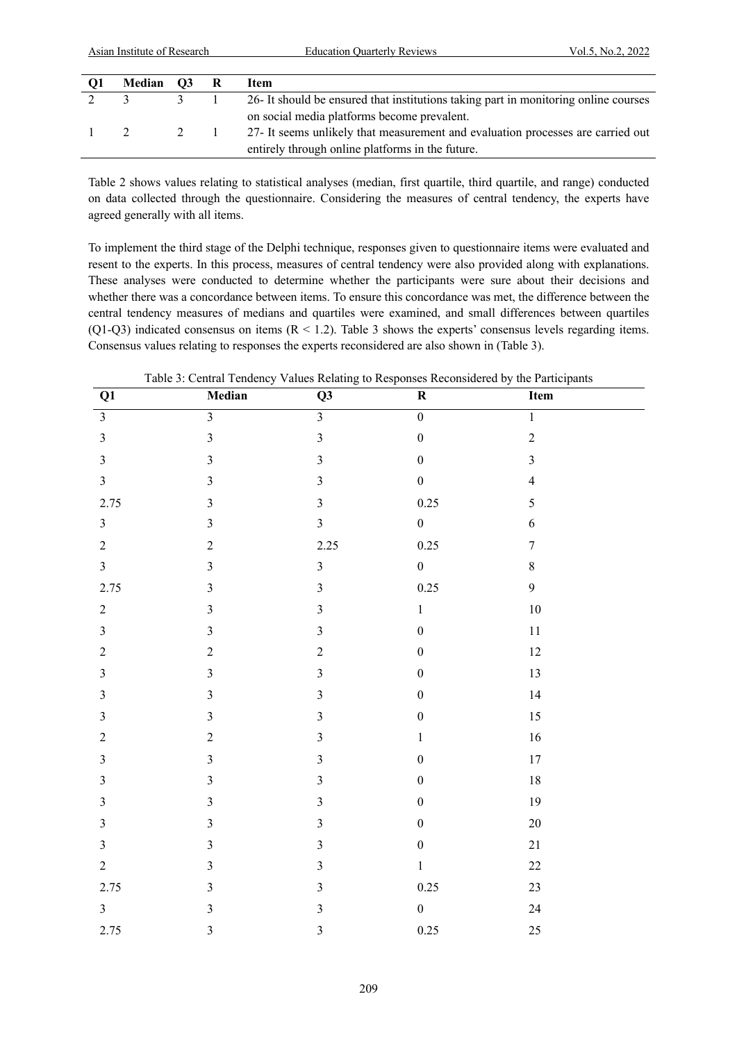| O1            | Median O3 R   |               | Item                                                                                |
|---------------|---------------|---------------|-------------------------------------------------------------------------------------|
|               | $\mathcal{L}$ | $\mathcal{L}$ | 26- It should be ensured that institutions taking part in monitoring online courses |
|               |               |               | on social media platforms become prevalent.                                         |
| $\frac{1}{2}$ |               | 2 1           | 27- It seems unlikely that measurement and evaluation processes are carried out     |
|               |               |               | entirely through online platforms in the future.                                    |

Table 2 shows values relating to statistical analyses (median, first quartile, third quartile, and range) conducted on data collected through the questionnaire. Considering the measures of central tendency, the experts have agreed generally with all items.

To implement the third stage of the Delphi technique, responses given to questionnaire items were evaluated and resent to the experts. In this process, measures of central tendency were also provided along with explanations. These analyses were conducted to determine whether the participants were sure about their decisions and whether there was a concordance between items. To ensure this concordance was met, the difference between the central tendency measures of medians and quartiles were examined, and small differences between quartiles (Q1-Q3) indicated consensus on items  $(R < 1.2)$ . Table 3 shows the experts' consensus levels regarding items. Consensus values relating to responses the experts reconsidered are also shown in (Table 3).

Table 3: Central Tendency Values Relating to Responses Reconsidered by the Participants

| Q1               | Median                  | Q3                      | ${\bf R}$        | Item             |
|------------------|-------------------------|-------------------------|------------------|------------------|
| $\overline{3}$   | $\overline{3}$          | $\overline{\mathbf{3}}$ | $\overline{0}$   | $\overline{1}$   |
| $\mathfrak{Z}$   | $\overline{3}$          | $\overline{3}$          | $\overline{0}$   | $\overline{c}$   |
| $\mathfrak{Z}$   | $\overline{3}$          | $\overline{3}$          | $\boldsymbol{0}$ | $\overline{3}$   |
| $\mathfrak{Z}$   | $\mathfrak{Z}$          | $\mathfrak{Z}$          | $\boldsymbol{0}$ | $\overline{4}$   |
| 2.75             | $\mathfrak{Z}$          | $\overline{3}$          | 0.25             | 5                |
| $\mathfrak{Z}$   | $\mathfrak{Z}$          | $\overline{\mathbf{3}}$ | $\boldsymbol{0}$ | $\boldsymbol{6}$ |
| $\overline{2}$   | $\sqrt{2}$              | 2.25                    | 0.25             | $\boldsymbol{7}$ |
| $\mathfrak{Z}$   | $\mathfrak{Z}$          | $\mathfrak{Z}$          | $\boldsymbol{0}$ | $8\,$            |
| 2.75             | $\mathfrak{Z}$          | $\overline{3}$          | 0.25             | 9                |
| $\sqrt{2}$       | $\mathfrak{Z}$          | $\mathfrak{Z}$          | $\,1\,$          | $10\,$           |
| $\mathfrak{Z}$   | $\mathfrak{Z}$          | $\mathfrak{Z}$          | $\boldsymbol{0}$ | $11\,$           |
| $\sqrt{2}$       | $\overline{c}$          | $\sqrt{2}$              | $\boldsymbol{0}$ | 12               |
| $\mathfrak{Z}$   | $\mathfrak{Z}$          | $\mathfrak{Z}$          | $\boldsymbol{0}$ | 13               |
| $\mathfrak{Z}$   | $\overline{\mathbf{3}}$ | $\mathfrak{Z}$          | $\boldsymbol{0}$ | 14               |
| $\mathfrak{Z}$   | $\overline{3}$          | $\overline{3}$          | $\boldsymbol{0}$ | 15               |
| $\boldsymbol{2}$ | $\overline{c}$          | $\mathfrak{Z}$          | $\,1\,$          | $16\,$           |
| $\mathfrak{Z}$   | $\overline{3}$          | $\mathfrak{Z}$          | $\boldsymbol{0}$ | $17\,$           |
| $\mathfrak{Z}$   | $\mathfrak{Z}$          | $\mathfrak{Z}$          | $\boldsymbol{0}$ | $18\,$           |
| $\sqrt{3}$       | $\overline{\mathbf{3}}$ | $\mathfrak{Z}$          | $\boldsymbol{0}$ | 19               |
| $\mathfrak{Z}$   | $\mathfrak{Z}$          | $\mathfrak{Z}$          | $\boldsymbol{0}$ | $20\,$           |
| $\mathfrak{Z}$   | $\mathfrak{Z}$          | $\mathfrak{Z}$          | $\boldsymbol{0}$ | 21               |
| $\overline{2}$   | $\mathfrak{Z}$          | $\overline{3}$          | $\,1$            | $22\,$           |
| 2.75             | $\mathfrak{Z}$          | $\mathfrak{Z}$          | $0.25\,$         | $23\,$           |
| $\mathfrak{Z}$   | $\mathfrak{Z}$          | $\mathfrak{Z}$          | $\boldsymbol{0}$ | 24               |
| 2.75             | $\mathfrak{Z}$          | $\mathfrak{Z}$          | $0.25\,$         | 25               |
|                  |                         |                         |                  |                  |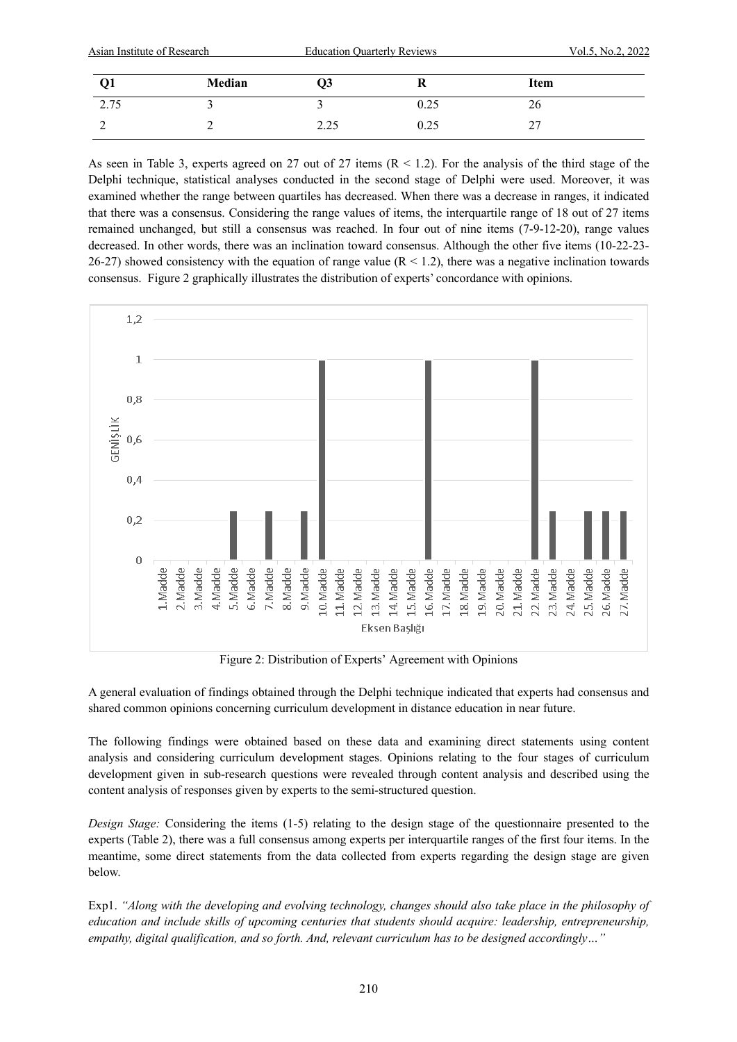| Asian Institute of Research |               | <b>Education Quarterly Reviews</b> |      | Vol.5, No.2, 2022 |  |
|-----------------------------|---------------|------------------------------------|------|-------------------|--|
|                             | <b>Median</b> | U3                                 | ĸ    | Item              |  |
| 2.75                        |               |                                    | 0.25 | 26                |  |
|                             |               | 2.25                               | 0.25 |                   |  |

As seen in Table 3, experts agreed on 27 out of 27 items (R < 1.2). For the analysis of the third stage of the Delphi technique, statistical analyses conducted in the second stage of Delphi were used. Moreover, it was examined whether the range between quartiles has decreased. When there was a decrease in ranges, it indicated that there was a consensus. Considering the range values of items, the interquartile range of 18 out of 27 items remained unchanged, but still a consensus was reached. In four out of nine items (7-9-12-20), range values decreased. In other words, there was an inclination toward consensus. Although the other five items (10-22-23- 26-27) showed consistency with the equation of range value  $(R < 1.2)$ , there was a negative inclination towards consensus. Figure 2 graphically illustrates the distribution of experts' concordance with opinions.



Figure 2: Distribution of Experts' Agreement with Opinions

A general evaluation of findings obtained through the Delphi technique indicated that experts had consensus and shared common opinions concerning curriculum development in distance education in near future.

The following findings were obtained based on these data and examining direct statements using content analysis and considering curriculum development stages. Opinions relating to the four stages of curriculum development given in sub-research questions were revealed through content analysis and described using the content analysis of responses given by experts to the semi-structured question.

*Design Stage:* Considering the items (1-5) relating to the design stage of the questionnaire presented to the experts (Table 2), there was a full consensus among experts per interquartile ranges of the first four items. In the meantime, some direct statements from the data collected from experts regarding the design stage are given below.

Exp1. *"Along with the developing and evolving technology, changes should also take place in the philosophy of education and include skills of upcoming centuries that students should acquire: leadership, entrepreneurship, empathy, digital qualification, and so forth. And, relevant curriculum has to be designed accordingly…"*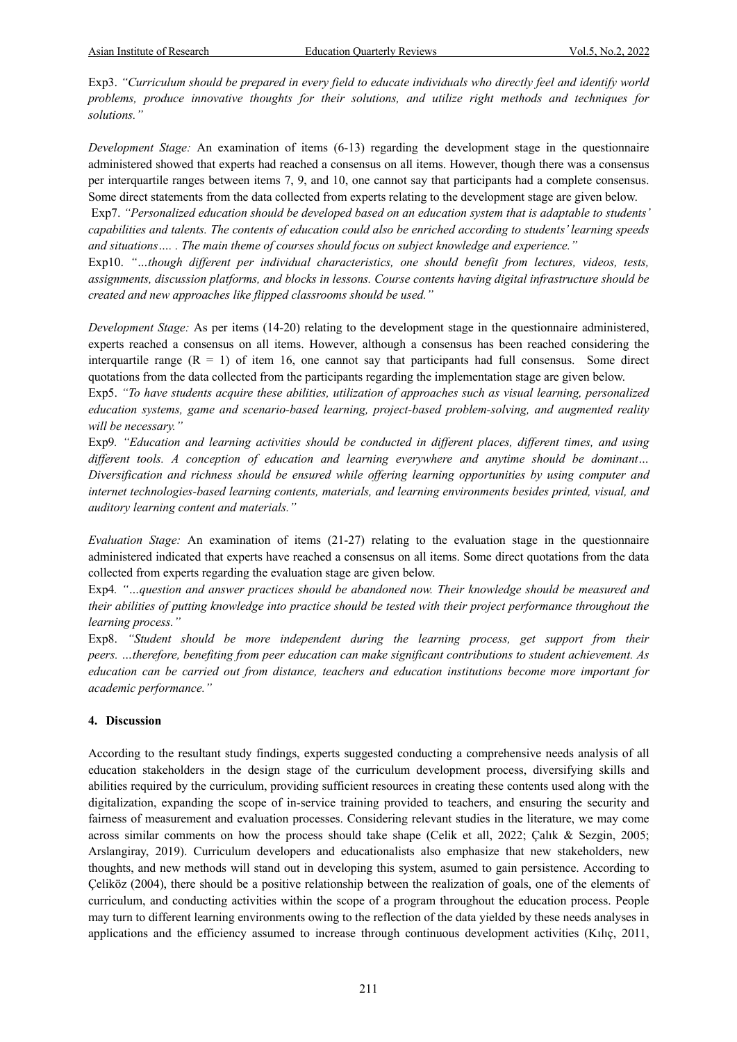Exp3. *"Curriculum should be prepared in every field to educate individuals who directly feel and identify world problems, produce innovative thoughts for their solutions, and utilize right methods and techniques for solutions."*

*Development Stage:* An examination of items (6-13) regarding the development stage in the questionnaire administered showed that experts had reached a consensus on all items. However, though there was a consensus per interquartile ranges between items 7, 9, and 10, one cannot say that participants had a complete consensus. Some direct statements from the data collected from experts relating to the development stage are given below.

Exp7. *"Personalized education should be developed based on an education system that is adaptable to students' capabilities and talents. The contents of education could also be enriched according to students' learning speeds and situations…. . The main theme of courses should focus on subject knowledge and experience."*

Exp10. *"…though different per individual characteristics, one should benefit from lectures, videos, tests, assignments, discussion platforms, and blocks in lessons. Course contents having digital infrastructure should be created and new approaches like flipped classrooms should be used."*

*Development Stage:* As per items (14-20) relating to the development stage in the questionnaire administered, experts reached a consensus on all items. However, although a consensus has been reached considering the interquartile range  $(R = 1)$  of item 16, one cannot say that participants had full consensus. Some direct quotations from the data collected from the participants regarding the implementation stage are given below.

Exp5. *"To have students acquire these abilities, utilization of approaches such as visual learning, personalized education systems, game and scenario-based learning, project-based problem-solving, and augmented reality will be necessary."* 

Exp9*. "Education and learning activities should be conducted in different places, different times, and using different tools. A conception of education and learning everywhere and anytime should be dominant… Diversification and richness should be ensured while offering learning opportunities by using computer and internet technologies-based learning contents, materials, and learning environments besides printed, visual, and auditory learning content and materials."*

*Evaluation Stage:* An examination of items (21-27) relating to the evaluation stage in the questionnaire administered indicated that experts have reached a consensus on all items. Some direct quotations from the data collected from experts regarding the evaluation stage are given below.

Exp4*. "…question and answer practices should be abandoned now. Their knowledge should be measured and their abilities of putting knowledge into practice should be tested with their project performance throughout the learning process."*

Exp8. "Student should be more independent during the learning process, get support from their *peers. …therefore, benefiting from peer education can make significant contributions to student achievement. As education can be carried out from distance, teachers and education institutions become more important for academic performance."*

#### **4. Discussion**

According to the resultant study findings, experts suggested conducting a comprehensive needs analysis of all education stakeholders in the design stage of the curriculum development process, diversifying skills and abilities required by the curriculum, providing sufficient resources in creating these contents used along with the digitalization, expanding the scope of in-service training provided to teachers, and ensuring the security and fairness of measurement and evaluation processes. Considering relevant studies in the literature, we may come across similar comments on how the process should take shape (Celik et all, 2022; Çalık & Sezgin, 2005; Arslangiray, 2019). Curriculum developers and educationalists also emphasize that new stakeholders, new thoughts, and new methods will stand out in developing this system, asumed to gain persistence. According to Çeliköz (2004), there should be a positive relationship between the realization of goals, one of the elements of curriculum, and conducting activities within the scope of a program throughout the education process. People may turn to different learning environments owing to the reflection of the data yielded by these needs analyses in applications and the efficiency assumed to increase through continuous development activities (Kılıç, 2011,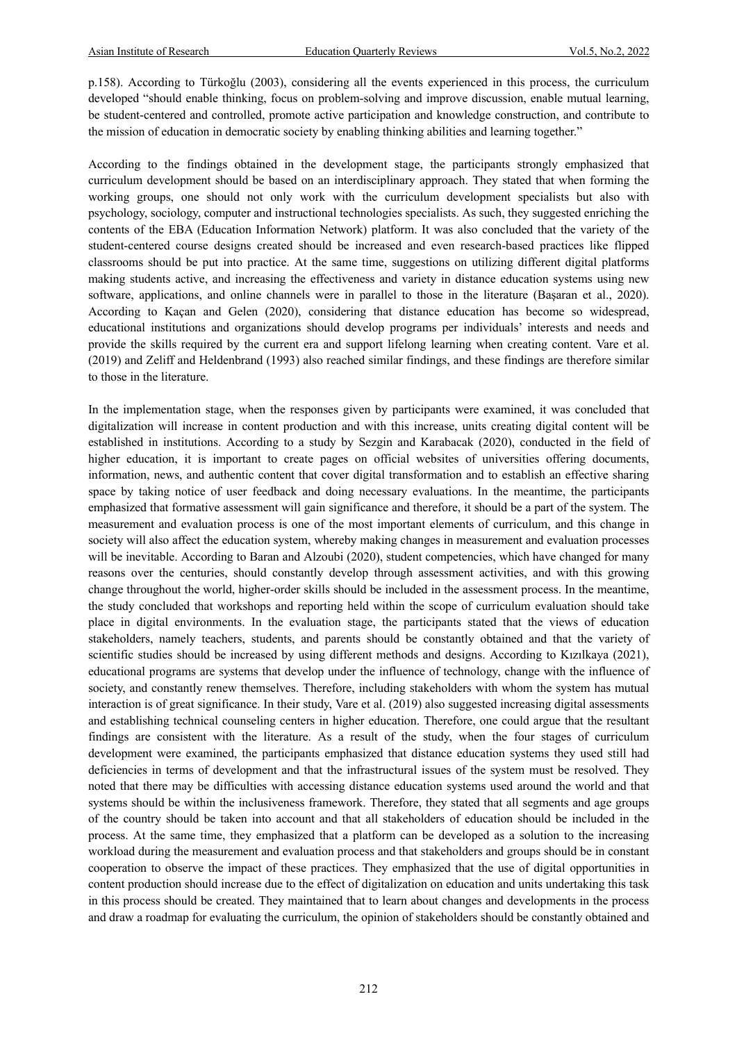p.158). According to Türkoğlu (2003), considering all the events experienced in this process, the curriculum developed "should enable thinking, focus on problem-solving and improve discussion, enable mutual learning, be student-centered and controlled, promote active participation and knowledge construction, and contribute to the mission of education in democratic society by enabling thinking abilities and learning together."

According to the findings obtained in the development stage, the participants strongly emphasized that curriculum development should be based on an interdisciplinary approach. They stated that when forming the working groups, one should not only work with the curriculum development specialists but also with psychology, sociology, computer and instructional technologies specialists. As such, they suggested enriching the contents of the EBA (Education Information Network) platform. It was also concluded that the variety of the student-centered course designs created should be increased and even research-based practices like flipped classrooms should be put into practice. At the same time, suggestions on utilizing different digital platforms making students active, and increasing the effectiveness and variety in distance education systems using new software, applications, and online channels were in parallel to those in the literature (Başaran et al., 2020). According to Kaçan and Gelen (2020), considering that distance education has become so widespread, educational institutions and organizations should develop programs per individuals' interests and needs and provide the skills required by the current era and support lifelong learning when creating content. Vare et al. (2019) and Zeliff and Heldenbrand (1993) also reached similar findings, and these findings are therefore similar to those in the literature.

In the implementation stage, when the responses given by participants were examined, it was concluded that digitalization will increase in content production and with this increase, units creating digital content will be established in institutions. According to a study by Sezgin and Karabacak (2020), conducted in the field of higher education, it is important to create pages on official websites of universities offering documents, information, news, and authentic content that cover digital transformation and to establish an effective sharing space by taking notice of user feedback and doing necessary evaluations. In the meantime, the participants emphasized that formative assessment will gain significance and therefore, it should be a part of the system. The measurement and evaluation process is one of the most important elements of curriculum, and this change in society will also affect the education system, whereby making changes in measurement and evaluation processes will be inevitable. According to Baran and Alzoubi (2020), student competencies, which have changed for many reasons over the centuries, should constantly develop through assessment activities, and with this growing change throughout the world, higher-order skills should be included in the assessment process. In the meantime, the study concluded that workshops and reporting held within the scope of curriculum evaluation should take place in digital environments. In the evaluation stage, the participants stated that the views of education stakeholders, namely teachers, students, and parents should be constantly obtained and that the variety of scientific studies should be increased by using different methods and designs. According to Kızılkaya (2021), educational programs are systems that develop under the influence of technology, change with the influence of society, and constantly renew themselves. Therefore, including stakeholders with whom the system has mutual interaction is of great significance. In their study, Vare et al. (2019) also suggested increasing digital assessments and establishing technical counseling centers in higher education. Therefore, one could argue that the resultant findings are consistent with the literature. As a result of the study, when the four stages of curriculum development were examined, the participants emphasized that distance education systems they used still had deficiencies in terms of development and that the infrastructural issues of the system must be resolved. They noted that there may be difficulties with accessing distance education systems used around the world and that systems should be within the inclusiveness framework. Therefore, they stated that all segments and age groups of the country should be taken into account and that all stakeholders of education should be included in the process. At the same time, they emphasized that a platform can be developed as a solution to the increasing workload during the measurement and evaluation process and that stakeholders and groups should be in constant cooperation to observe the impact of these practices. They emphasized that the use of digital opportunities in content production should increase due to the effect of digitalization on education and units undertaking this task in this process should be created. They maintained that to learn about changes and developments in the process and draw a roadmap for evaluating the curriculum, the opinion of stakeholders should be constantly obtained and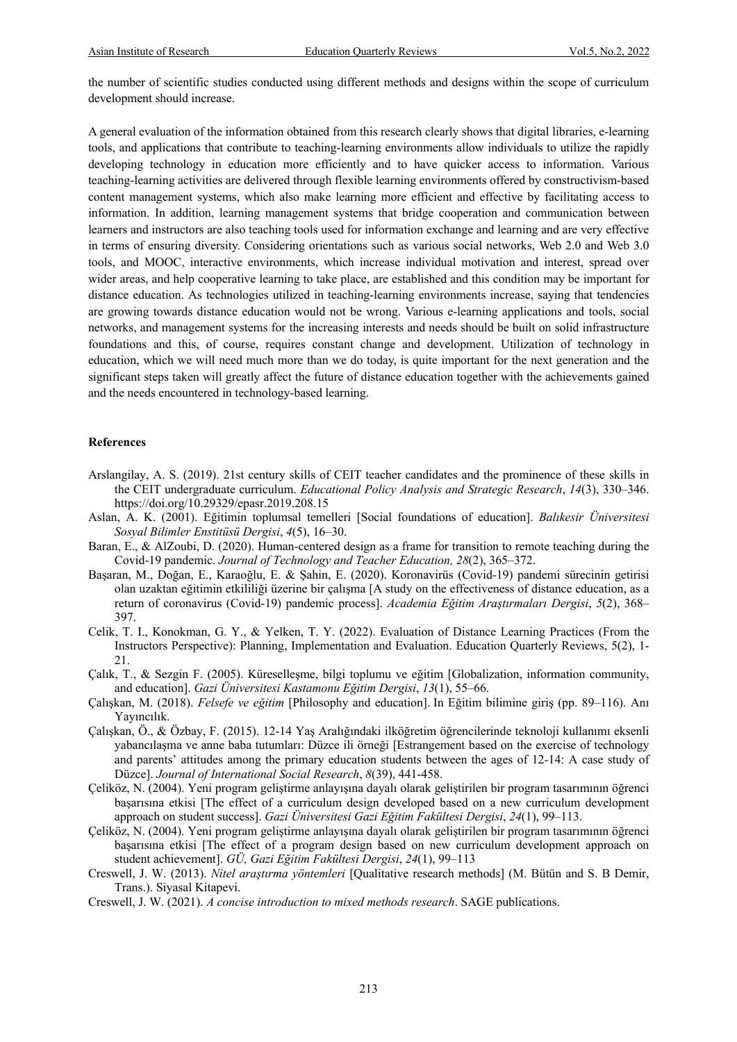the number of scientific studies conducted using different methods and designs within the scope of curriculum development should increase.

A general evaluation of the information obtained from this research clearly shows that digital libraries, e-learning tools, and applications that contribute to teaching-learning environments allow individuals to utilize the rapidly developing technology in education more efficiently and to have quicker access to information. Various teaching-learning activities are delivered through flexible learning environments offered by constructivism-based content management systems, which also make learning more efficient and effective by facilitating access to information. In addition, learning management systems that bridge cooperation and communication between learners and instructors are also teaching tools used for information exchange and learning and are very effective in terms of ensuring diversity. Considering orientations such as various social networks, Web 2.0 and Web 3.0 tools, and MOOC, interactive environments, which increase individual motivation and interest, spread over wider areas, and help cooperative learning to take place, are established and this condition may be important for distance education. As technologies utilized in teaching-learning environments increase, saying that tendencies are growing towards distance education would not be wrong. Various e-learning applications and tools, social networks, and management systems for the increasing interests and needs should be built on solid infrastructure foundations and this, of course, requires constant change and development. Utilization of technology in education, which we will need much more than we do today, is quite important for the next generation and the significant steps taken will greatly affect the future of distance education together with the achievements gained and the needs encountered in technology-based learning.

#### **References**

- Arslangilay, A. S. (2019). 21st century skills of CEIT teacher candidates and the prominence of these skills in the CEIT undergraduate curriculum. *Educational Policy Analysis and Strategic Research*, *14*(3), 330–346. https://doi.org/10.29329/epasr.2019.208.15
- Aslan, A. K. (2001). Eğitimin toplumsal temelleri [Social foundations of education]. *Balıkesir Üniversitesi Sosyal Bilimler Enstitüsü Dergisi*, *4*(5), 16–30.
- Baran, E., & AlZoubi, D. (2020). Human-centered design as a frame for transition to remote teaching during the Covid-19 pandemic. *Journal of Technology and Teacher Education, 28*(2), 365–372.
- Başaran, M., Doğan, E., Karaoğlu, E. & Şahin, E. (2020). Koronavirüs (Covid-19) pandemi sürecinin getirisi olan uzaktan eğitimin etkililiği üzerine bir çalışma [A study on the effectiveness of distance education, as a return of coronavirus (Covid-19) pandemic process]. *Academia Eğitim Araştırmaları Dergisi*, *5*(2), 368– 397.
- Celik, T. I., Konokman, G. Y., & Yelken, T. Y. (2022). Evaluation of Distance Learning Practices (From the Instructors Perspective): Planning, Implementation and Evaluation. Education Quarterly Reviews, 5(2), 1- 21.
- Çalık, T., & Sezgin F. (2005). Küreselleşme, bilgi toplumu ve eğitim [Globalization, information community, and education]. *Gazi Üniversitesi Kastamonu Eğitim Dergisi*, *13*(1), 55–66.
- Çalışkan, M. (2018). *Felsefe ve eğitim* [Philosophy and education]. In Eğitim bilimine giriş (pp. 89–116). Anı Yayıncılık.
- Çalışkan, Ö., & Özbay, F. (2015). 12-14 Yaş Aralığındaki ilköğretim öğrencilerinde teknoloji kullanımı eksenli yabancılaşma ve anne baba tutumları: Düzce ili örneği [Estrangement based on the exercise of technology and parents' attitudes among the primary education students between the ages of 12-14: A case study of Düzce]. *Journal of International Social Research*, *8*(39), 441-458.
- Çeliköz, N. (2004). Yeni program geliştirme anlayışına dayalı olarak geliştirilen bir program tasarımının öğrenci başarısına etkisi [The effect of a curriculum design developed based on a new curriculum development approach on student success]. *Gazi Üniversitesi Gazi Eğitim Fakültesi Dergisi*, *24*(1), 99–113.
- Çeliköz, N. (2004). Yeni program geliştirme anlayışına dayalı olarak geliştirilen bir program tasarımının öğrenci başarısına etkisi [The effect of a program design based on new curriculum development approach on student achievement]. *GÜ, Gazi Eğitim Fakültesi Dergisi*, *24*(1), 99–113
- Creswell, J. W. (2013). *Nitel araştırma yöntemleri* [Qualitative research methods] (M. Bütün and S. B Demir, Trans.). Siyasal Kitapevi.
- Creswell, J. W. (2021). *A concise introduction to mixed methods research*. SAGE publications.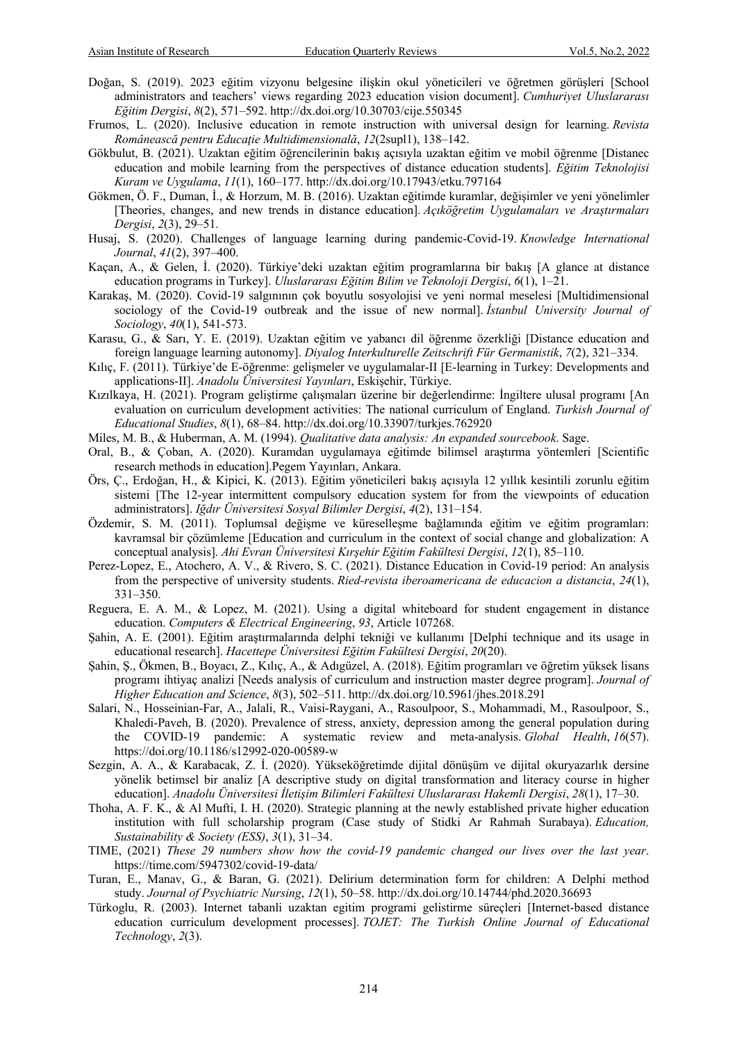- Doğan, S. (2019). 2023 eğitim vizyonu belgesine ilişkin okul yöneticileri ve öğretmen görüşleri [School administrators and teachers' views regarding 2023 education vision document]. *Cumhuriyet Uluslararası Eğitim Dergisi*, *8*(2), 571–592. http://dx.doi.org/10.30703/cije.550345
- Frumos, L. (2020). Inclusive education in remote instruction with universal design for learning. *Revista Românească pentru Educaţie Multidimensională*, *12*(2supl1), 138–142.
- Gökbulut, B. (2021). Uzaktan eğitim öğrencilerinin bakış açısıyla uzaktan eğitim ve mobil öğrenme [Distanec education and mobile learning from the perspectives of distance education students]. *Eğitim Teknolojisi Kuram ve Uygulama*, *11*(1), 160–177. http://dx.doi.org/10.17943/etku.797164
- Gökmen, Ö. F., Duman, İ., & Horzum, M. B. (2016). Uzaktan eğitimde kuramlar, değişimler ve yeni yönelimler [Theories, changes, and new trends in distance education]. *Açıköğretim Uygulamaları ve Araştırmaları Dergisi*, *2*(3), 29–51.
- Husaj, S. (2020). Challenges of language learning during pandemic-Covid-19. *Knowledge International Journal*, *41*(2), 397–400.
- Kaçan, A., & Gelen, İ. (2020). Türkiye'deki uzaktan eğitim programlarına bir bakış [A glance at distance education programs in Turkey]. *Uluslararası Eğitim Bilim ve Teknoloji Dergisi*, *6*(1), 1–21.
- Karakaş, M. (2020). Covid-19 salgınının çok boyutlu sosyolojisi ve yeni normal meselesi [Multidimensional sociology of the Covid-19 outbreak and the issue of new normal]. *İstanbul University Journal of Sociology*, *40*(1), 541-573.
- Karasu, G., & Sarı, Y. E. (2019). Uzaktan eğitim ve yabancı dil öğrenme özerkliği [Distance education and foreign language learning autonomy]. *Diyalog Interkulturelle Zeitschrift Für Germanistik*, *7*(2), 321–334.
- Kılıç, F. (2011). Türkiye'de E-öğrenme: gelişmeler ve uygulamalar-II [E-learning in Turkey: Developments and applications-II]. *Anadolu Üniversitesi Yayınları*, Eskişehir, Türkiye.
- Kızılkaya, H. (2021). Program geliştirme çalışmaları üzerine bir değerlendirme: İngiltere ulusal programı [An evaluation on curriculum development activities: The national curriculum of England. *Turkish Journal of Educational Studies*, *8*(1), 68–84. http://dx.doi.org/10.33907/turkjes.762920
- Miles, M. B., & Huberman, A. M. (1994). *Qualitative data analysis: An expanded sourcebook*. Sage.
- Oral, B., & Çoban, A. (2020). Kuramdan uygulamaya eğitimde bilimsel araştırma yöntemleri [Scientific research methods in education].Pegem Yayınları, Ankara.
- Örs, Ç., Erdoğan, H., & Kipici, K. (2013). Eğitim yöneticileri bakış açısıyla 12 yıllık kesintili zorunlu eğitim sistemi [The 12-year intermittent compulsory education system for from the viewpoints of education administrators]. *Iğdır Üniversitesi Sosyal Bilimler Dergisi*, *4*(2), 131–154.
- Özdemir, S. M. (2011). Toplumsal değişme ve küreselleşme bağlamında eğitim ve eğitim programları: kavramsal bir çözümleme [Education and curriculum in the context of social change and globalization: A conceptual analysis]. *Ahi Evran Üniversitesi Kırşehir Eğitim Fakültesi Dergisi*, *12*(1), 85–110.
- Perez-Lopez, E., Atochero, A. V., & Rivero, S. C. (2021). Distance Education in Covid-19 period: An analysis from the perspective of university students. *Ried-revista iberoamericana de educacion a distancia*, *24*(1), 331–350.
- Reguera, E. A. M., & Lopez, M. (2021). Using a digital whiteboard for student engagement in distance education. *Computers & Electrical Engineering*, *93*, Article 107268.
- Şahin, A. E. (2001). Eğitim araştırmalarında delphi tekniği ve kullanımı [Delphi technique and its usage in educational research]. *Hacettepe Üniversitesi Eğitim Fakültesi Dergisi*, *20*(20).
- Şahin, Ş., Ökmen, B., Boyacı, Z., Kılıç, A., & Adıgüzel, A. (2018). Eğitim programları ve öğretim yüksek lisans programı ihtiyaç analizi [Needs analysis of curriculum and instruction master degree program]. *Journal of Higher Education and Science*, *8*(3), 502–511. http://dx.doi.org/10.5961/jhes.2018.291
- Salari, N., Hosseinian-Far, A., Jalali, R., Vaisi-Raygani, A., Rasoulpoor, S., Mohammadi, M., Rasoulpoor, S., Khaledi-Paveh, B. (2020). Prevalence of stress, anxiety, depression among the general population during the COVID-19 pandemic: A systematic review and meta-analysis. *Global Health*, *16*(57). https://doi.org/10.1186/s12992-020-00589-w
- Sezgin, A. A., & Karabacak, Z. İ. (2020). Yükseköğretimde dijital dönüşüm ve dijital okuryazarlık dersine yönelik betimsel bir analiz [A descriptive study on digital transformation and literacy course in higher education]. *Anadolu Üniversitesi İletişim Bilimleri Fakültesi Uluslararası Hakemli Dergisi*, *28*(1), 17–30.
- Thoha, A. F. K., & Al Mufti, I. H. (2020). Strategic planning at the newly established private higher education institution with full scholarship program (Case study of Stidki Ar Rahmah Surabaya). *Education, Sustainability & Society (ESS)*, *3*(1), 31–34.
- TIME, (2021) *These 29 numbers show how the covid-19 pandemic changed our lives over the last year*. https://time.com/5947302/covid-19-data/
- Turan, E., Manav, G., & Baran, G. (2021). Delirium determination form for children: A Delphi method study. *Journal of Psychiatric Nursing*, *12*(1), 50–58. http://dx.doi.org/10.14744/phd.2020.36693
- Türkoglu, R. (2003). Internet tabanli uzaktan egitim programi gelistirme süreçleri [Internet-based distance education curriculum development processes]. *TOJET: The Turkish Online Journal of Educational Technology*, *2*(3).